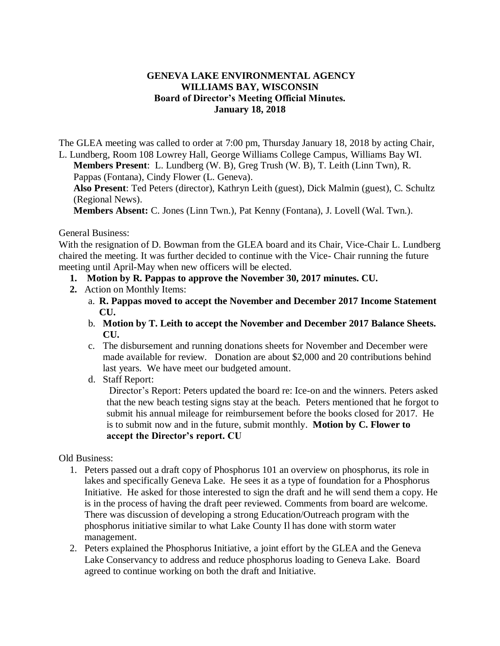## **GENEVA LAKE ENVIRONMENTAL AGENCY WILLIAMS BAY, WISCONSIN Board of Director's Meeting Official Minutes. January 18, 2018**

The GLEA meeting was called to order at 7:00 pm, Thursday January 18, 2018 by acting Chair, L. Lundberg, Room 108 Lowrey Hall, George Williams College Campus, Williams Bay WI.

**Members Present**: L. Lundberg (W. B), Greg Trush (W. B), T. Leith (Linn Twn), R. Pappas (Fontana), Cindy Flower (L. Geneva).

**Also Present**: Ted Peters (director), Kathryn Leith (guest), Dick Malmin (guest), C. Schultz (Regional News).

**Members Absent:** C. Jones (Linn Twn.), Pat Kenny (Fontana), J. Lovell (Wal. Twn.).

General Business:

With the resignation of D. Bowman from the GLEA board and its Chair, Vice-Chair L. Lundberg chaired the meeting. It was further decided to continue with the Vice- Chair running the future meeting until April-May when new officers will be elected.

- **1. Motion by R. Pappas to approve the November 30, 2017 minutes. CU.**
- **2.** Action on Monthly Items:
	- a. **R. Pappas moved to accept the November and December 2017 Income Statement CU.**
	- b. **Motion by T. Leith to accept the November and December 2017 Balance Sheets. CU.**
	- c. The disbursement and running donations sheets for November and December were made available for review. Donation are about \$2,000 and 20 contributions behind last years. We have meet our budgeted amount.
	- d. Staff Report:

Director's Report: Peters updated the board re: Ice-on and the winners. Peters asked that the new beach testing signs stay at the beach. Peters mentioned that he forgot to submit his annual mileage for reimbursement before the books closed for 2017. He is to submit now and in the future, submit monthly. **Motion by C. Flower to accept the Director's report. CU** 

Old Business:

- 1. Peters passed out a draft copy of Phosphorus 101 an overview on phosphorus, its role in lakes and specifically Geneva Lake. He sees it as a type of foundation for a Phosphorus Initiative. He asked for those interested to sign the draft and he will send them a copy. He is in the process of having the draft peer reviewed. Comments from board are welcome. There was discussion of developing a strong Education/Outreach program with the phosphorus initiative similar to what Lake County Il has done with storm water management.
- 2. Peters explained the Phosphorus Initiative, a joint effort by the GLEA and the Geneva Lake Conservancy to address and reduce phosphorus loading to Geneva Lake. Board agreed to continue working on both the draft and Initiative.